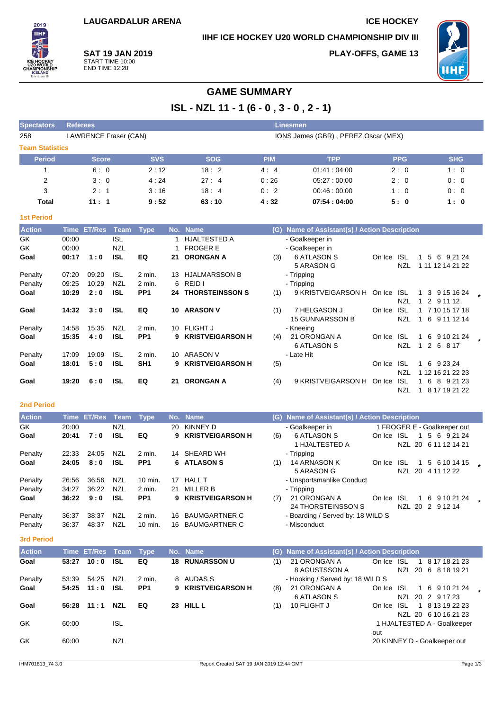## **IIHF ICE HOCKEY U20 WORLD CHAMPIONSHIP DIV III**

**PLAY-OFFS, GAME 13**



**SAT 19 JAN 2019** START TIME 10:00 END TIME 12:28

# **GAME SUMMARY**

**ISL - NZL 11 - 1 (6 - 0 , 3 - 0 , 2 - 1)**

| <b>Spectators</b>      | <b>Referees</b>       |            |            | <b>Linesmen</b> |                                     |            |            |
|------------------------|-----------------------|------------|------------|-----------------|-------------------------------------|------------|------------|
| 258                    | LAWRENCE Fraser (CAN) |            |            |                 | IONS James (GBR), PEREZ Oscar (MEX) |            |            |
| <b>Team Statistics</b> |                       |            |            |                 |                                     |            |            |
| <b>Period</b>          | <b>Score</b>          | <b>SVS</b> | <b>SOG</b> | <b>PIM</b>      | <b>TPP</b>                          | <b>PPG</b> | <b>SHG</b> |
|                        | 6:0                   | 2:12       | 18:2       | 4:4             | 01.41:04.00                         | 2:0        | 1:0        |
| 2                      | 3:0                   | 4:24       | 27:4       | 0:26            | 05.27:00.00                         | 2:0        | 0:0        |
| 3                      | 2:1                   | 3:16       | 18:4       | 0:2             | 00.46:00.00                         | 1:0        | 0:0        |
| Total                  | 11:1                  | 9:52       | 63:10      | 4:32            | 07:54:04:00                         | 5:0        | 1:0        |

### **1st Period**

2019 **IIHF** 

| <b>Action</b> | Time           | <b>ET/Res</b> | <b>Team</b>              | <b>Type</b>     |     | No. Name                               | (G) | Name of Assistant(s) / Action Description |        |                   |                                   |         |  |
|---------------|----------------|---------------|--------------------------|-----------------|-----|----------------------------------------|-----|-------------------------------------------|--------|-------------------|-----------------------------------|---------|--|
| GK<br>GK      | 00:00<br>00:00 |               | <b>ISL</b><br><b>NZL</b> |                 |     | <b>HJALTESTED A</b><br><b>FROGER E</b> |     | - Goalkeeper in<br>- Goalkeeper in        |        |                   |                                   |         |  |
| Goal          | 00:17          | 1:0           | <b>ISL</b>               | EQ              | 21  | <b>ORONGAN A</b>                       | (3) | 6 ATLASON S<br>5 ARASON G                 | On Ice | ISL<br><b>NZL</b> | -5<br>-6<br>1<br>1 11 12 14 21 22 | 9 21 24 |  |
| Penalty       | 07:20          | 09:20         | <b>ISL</b>               | $2$ min.        | 13  | <b>HJALMARSSON B</b>                   |     | - Tripping                                |        |                   |                                   |         |  |
| Penalty       | 09:25          | 10:29         | <b>NZL</b>               | 2 min.          | 6   | REID I                                 |     | - Tripping                                |        |                   |                                   |         |  |
| Goal          | 10:29          | 2:0           | <b>ISL</b>               | PP <sub>1</sub> | 24  | <b>THORSTEINSSON S</b>                 | (1) | 9 KRISTVEIGARSON H                        | On Ice | <b>ISL</b>        | 3<br>9 15 16 24                   |         |  |
|               |                |               |                          |                 |     |                                        |     |                                           |        | <b>NZL</b>        | 2<br>9 11 12                      |         |  |
| Goal          | 14:32          | 3:0           | <b>ISL</b>               | EQ              | 10. | <b>ARASON V</b>                        | (1) | 7 HELGASON J                              | On Ice | <b>ISL</b>        | 7 10 15 17 18                     |         |  |
|               |                |               |                          |                 |     |                                        |     | <b>15 GUNNARSSON B</b>                    |        | NZL               | 6<br>9 11 12 14                   |         |  |
| Penalty       | 14:58          | 15:35         | NZL                      | 2 min.          | 10  | <b>FLIGHT J</b>                        |     | - Kneeing                                 |        |                   |                                   |         |  |
| Goal          | 15:35          | 4:0           | <b>ISL</b>               | PP <sub>1</sub> | 9   | <b>KRISTVEIGARSON H</b>                | (4) | 21 ORONGAN A                              | On Ice | <b>ISL</b>        | 9 10 21 24<br>6<br>1              |         |  |
|               |                |               |                          |                 |     |                                        |     | 6 ATLASON S                               |        | NZL               | 2<br>6<br>8 1 7<br>1              |         |  |
| Penalty       | 17:09          | 19:09         | <b>ISL</b>               | 2 min.          | 10. | <b>ARASON V</b>                        |     | - Late Hit                                |        |                   |                                   |         |  |
| Goal          | 18:01          | 5:0           | ISL                      | SH <sub>1</sub> | 9.  | <b>KRISTVEIGARSON H</b>                | (5) |                                           | On Ice | <b>ISL</b>        | -6<br>9 23 24<br>1                |         |  |
|               |                |               |                          |                 |     |                                        |     |                                           |        | <b>NZL</b>        | 1 12 16 21 22 23                  |         |  |
| Goal          | 19:20          | 6:0           | <b>ISL</b>               | EQ              | 21  | <b>ORONGAN A</b>                       | (4) | 9 KRISTVEIGARSON H                        | On Ice | <b>ISL</b>        | -6<br>8                           | 9 21 23 |  |
|               |                |               |                          |                 |     |                                        |     |                                           |        | NZL               | 8 17 19 21 22                     |         |  |

### **2nd Period**

| <b>Action</b> |       | Time ET/Res Team |            | Type               |     | No. Name                | (G) | Name of Assistant(s) / Action Description |        |                 |                                     |  |
|---------------|-------|------------------|------------|--------------------|-----|-------------------------|-----|-------------------------------------------|--------|-----------------|-------------------------------------|--|
| GK            | 20:00 |                  | <b>NZL</b> |                    | 20. | KINNEY D                |     | - Goalkeeper in                           |        |                 | 1 FROGER E - Goalkeeper out         |  |
| Goal          | 20:41 | 7:0              | <b>ISL</b> | EQ                 | 9.  | <b>KRISTVEIGARSON H</b> | (6) | 6 ATLASON S<br>1 HJALTESTED A             | On Ice | <b>ISL</b><br>1 | 5 6 9 21 24<br>NZL 20 6 11 12 14 21 |  |
| Penalty       | 22:33 | 24:05            | <b>NZL</b> | 2 min.             |     | 14 SHEARD WH            |     | - Tripping                                |        |                 |                                     |  |
| Goal          | 24:05 | 8:0              | <b>ISL</b> | PP <sub>1</sub>    |     | 6 ATLASON S             | (1) | 14 ARNASON K<br>5 ARASON G                | On Ice | ISL<br>1<br>NZL | 5 6 10 14 15<br>20 4 11 12 22       |  |
| Penalty       | 26:56 | 36:56            | <b>NZL</b> | $10 \text{ min}$ . | 17  | <b>HALL T</b>           |     | - Unsportsmanlike Conduct                 |        |                 |                                     |  |
| Penalty       | 34:27 | 36:22            | <b>NZL</b> | 2 min.             | 21. | MILLER B                |     | - Tripping                                |        |                 |                                     |  |
| Goal          | 36:22 | 9:0              | <b>ISL</b> | PP <sub>1</sub>    |     | 9 KRISTVEIGARSON H      | (7) | 21 ORONGAN A<br>24 THORSTEINSSON S        | On Ice | -ISL<br>1.      | 6 9 10 21 24<br>NZL 20 2 9 12 14    |  |
| Penalty       | 36:37 | 38:37            | <b>NZL</b> | $2$ min.           | 16. | <b>BAUMGARTNER C</b>    |     | - Boarding / Served by: 18 WILD S         |        |                 |                                     |  |
| Penalty       | 36:37 | 48:37            | <b>NZL</b> | 10 min.            |     | 16 BAUMGARTNER C        |     | - Misconduct                              |        |                 |                                     |  |

### **3rd Period**

| <b>Action</b> |       | Time ET/Res Team |            | <b>Type</b>     |    | No. Name           |     | (G) Name of Assistant(s) / Action Description |            |  |                              |  |
|---------------|-------|------------------|------------|-----------------|----|--------------------|-----|-----------------------------------------------|------------|--|------------------------------|--|
| Goal          | 53:27 | 10:0             | <b>ISL</b> | EQ              | 18 | <b>RUNARSSON U</b> | (1) | 21 ORONGAN A                                  | On Ice ISL |  | 1 8 17 18 21 23              |  |
|               |       |                  |            |                 |    |                    |     | 8 AGUSTSSON A                                 |            |  | NZL 20 6 8 18 19 21          |  |
| Penalty       | 53:39 | 54:25            | NZL        | 2 min.          |    | 8 AUDAS S          |     | - Hooking / Served by: 18 WILD S              |            |  |                              |  |
| Goal          | 54:25 | 11:0             | <b>ISL</b> | PP <sub>1</sub> |    | 9 KRISTVEIGARSON H | (8) | 21 ORONGAN A                                  | On Ice ISL |  | 1 6 9 10 21 24               |  |
|               |       |                  |            |                 |    |                    |     | 6 ATLASON S                                   |            |  | NZL 20 2 9 17 23             |  |
| Goal          | 56:28 | 11:1             | <b>NZL</b> | EQ              | 23 | <b>HILL L</b>      | (1) | 10 FLIGHT J                                   | On Ice ISL |  | 1 8 13 19 22 23              |  |
|               |       |                  |            |                 |    |                    |     |                                               |            |  | NZL 20 6 10 16 21 23         |  |
| GK            | 60:00 |                  | ISL        |                 |    |                    |     |                                               |            |  | 1 HJALTESTED A - Goalkeeper  |  |
|               |       |                  |            |                 |    |                    |     |                                               | out        |  |                              |  |
| GK            | 60:00 |                  | NZL        |                 |    |                    |     |                                               |            |  | 20 KINNEY D - Goalkeeper out |  |
|               |       |                  |            |                 |    |                    |     |                                               |            |  |                              |  |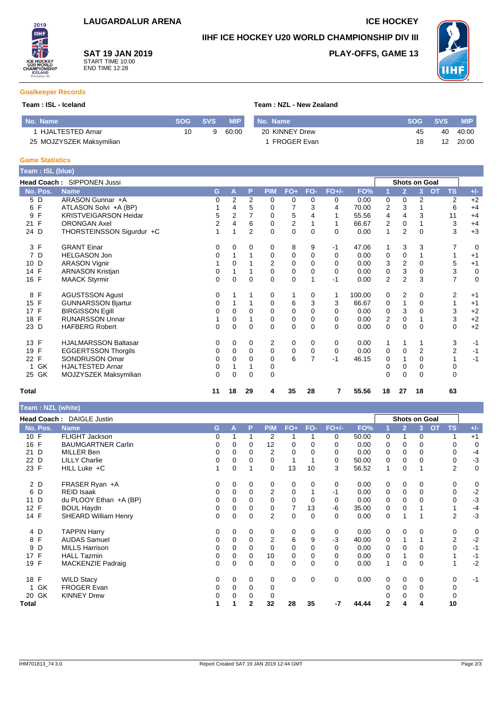### **IIHF ICE HOCKEY U20 WORLD CHAMPIONSHIP DIV III**

**SAT 19 JAN 2019** START TIME 10:00 END TIME 12:28

### **PLAY-OFFS, GAME 13**



### **Goalkeeper Records**

2019 **IIHF** 

### **Team : ISL - Iceland Team : NZL - New Zealand**

| l No. Name               |    | SOG SVS | <b>MIP</b> | No. Name       | <b>SOG</b> | <b>SVS</b> | <b>MIP</b> |
|--------------------------|----|---------|------------|----------------|------------|------------|------------|
| HJALTESTED Arnar         | 10 |         | 60:00      | 20 KINNEY Drew | 45         | 40         | 40:00      |
| 25 MOJZYSZEK Maksymilian |    |         |            | FROGER Evan    | 18         | 12         | 20:00      |

### **Game Statistics**

| Team : ISL (blue)  |                                   |                |                |                |             |             |             |          |        |                |                      |          |                             |             |
|--------------------|-----------------------------------|----------------|----------------|----------------|-------------|-------------|-------------|----------|--------|----------------|----------------------|----------|-----------------------------|-------------|
|                    | <b>Head Coach: SIPPONEN Jussi</b> |                |                |                |             |             |             |          |        |                | <b>Shots on Goal</b> |          |                             |             |
| No. Pos.           | <b>Name</b>                       | G              | A              | P              | <b>PIM</b>  | $FO+$       | FO-         | $FO+/-$  | FO%    |                | $\overline{2}$       | 3        | <b>TS</b><br>$\overline{O}$ | $+/-$       |
| 5 D                | ARASON Gunnar +A                  | 0              | $\overline{2}$ | $\overline{2}$ | 0           | 0           | 0           | 0        | 0.00   | 0              | 0                    | 2        | 2                           | $+2$        |
| F<br>6             | ATLASON Solvi +A (BP)             |                | 4              | 5              | 0           |             | 3           | 4        | 70.00  | 2              | 3                    |          | 6                           | $+4$        |
| F<br>9             | <b>KRISTVEIGARSON Heidar</b>      | 5              | $\overline{2}$ |                | 0           | 5           | 4           |          | 55.56  | 4              | 4                    | 3        | 11                          | $+4$        |
| F<br>21            | <b>ORONGAN Axel</b>               | $\overline{2}$ | 4              | 6              | 0           | 2           |             |          | 66.67  | 2              | 0                    |          | 3                           | $+4$        |
| 24 D               | THORSTEINSSON Sigurdur +C         |                |                | $\overline{2}$ | $\Omega$    | $\Omega$    | $\Omega$    | $\Omega$ | 0.00   | 1              | $\overline{2}$       | $\Omega$ | 3                           | $+3$        |
| 3 F                | <b>GRANT Einar</b>                | 0              | 0              | 0              | 0           | 8           | 9           | -1       | 47.06  |                | 3                    | 3        |                             | 0           |
| 7 D                | <b>HELGASON Jon</b>               | 0              |                |                | 0           | 0           | $\Omega$    | $\Omega$ | 0.00   | 0              | 0                    |          |                             | $+1$        |
| D<br>10            | <b>ARASON Vignir</b>              |                | 0              |                | 2           | 0           | 0           | 0        | 0.00   | 3              | $\overline{2}$       | 0        | 5                           | $+1$        |
| 14 F               | <b>ARNASON Kristjan</b>           | 0              |                |                | $\mathbf 0$ | 0           | 0           | $\Omega$ | 0.00   | 0              | 3                    | 0        | 3                           | 0           |
| 16 F               | <b>MAACK Styrmir</b>              | 0              | $\Omega$       | $\mathbf 0$    | $\Omega$    | 0           |             | $-1$     | 0.00   | $\overline{2}$ | $\overline{2}$       | 3        | 7                           | $\mathbf 0$ |
| F<br>8             | <b>AGUSTSSON Agust</b>            | 0              |                |                | 0           | 1           | 0           | 1        | 100.00 | 0              | $\overline{2}$       | 0        | 2                           | $+1$        |
| 15 F               | <b>GUNNARSSON Bjartur</b>         | 0              |                |                | 0           | 6           | 3           | 3        | 66.67  | 0              |                      | 0        | 1                           | $+1$        |
| 17 F               | <b>BIRGISSON Egill</b>            | 0              | 0              | $\Omega$       | 0           | 0           | 0           | 0        | 0.00   | 0              | 3                    | 0        | 3                           | $+2$        |
| $\mathsf{F}$<br>18 | <b>RUNARSSON Unnar</b>            |                | $\Omega$       |                | 0           | $\mathbf 0$ | $\Omega$    | $\Omega$ | 0.00   | $\mathbf 2$    | 0                    |          | 3                           | $+2$        |
| 23 D               | <b>HAFBERG Robert</b>             | $\Omega$       | $\Omega$       | 0              | $\Omega$    | 0           | 0           | $\Omega$ | 0.00   | 0              | $\Omega$             | $\Omega$ | 0                           | $+2$        |
| F<br>13            | <b>HJALMARSSON Baltasar</b>       | 0              | 0              | 0              | 2           | 0           | 0           | 0        | 0.00   | 1              | 1                    |          | 3                           | $-1$        |
| F<br>19            | <b>EGGERTSSON Thorgils</b>        | 0              | $\Omega$       | $\Omega$       | $\mathbf 0$ | $\mathbf 0$ | $\mathbf 0$ | 0        | 0.00   | 0              | $\mathbf 0$          | 2        | 2                           | $-1$        |
| F<br>22            | SONDRUSON Omar                    | 0              | 0              | 0              | 0           | 6           | 7           | $-1$     | 46.15  | 0              |                      | $\Omega$ |                             | $-1$        |
| GK                 | <b>HJALTESTED Arnar</b>           | $\mathbf 0$    |                |                | 0           |             |             |          |        | 0              | 0                    | 0        | 0                           |             |
| 25 GK              | MOJZYSZEK Maksymilian             | 0              | 0              | $\Omega$       | 0           |             |             |          |        | $\Omega$       | $\Omega$             | $\Omega$ | 0                           |             |
| <b>Total</b>       |                                   | 11             | 18             | 29             | 4           | 35          | 28          | 7        | 55.56  | 18             | 27                   | 18       | 63                          |             |

| Team: NZL (white) |                             |   |             |              |                |             |             |             |       |             |                |                      |                        |             |
|-------------------|-----------------------------|---|-------------|--------------|----------------|-------------|-------------|-------------|-------|-------------|----------------|----------------------|------------------------|-------------|
|                   | Head Coach: DAIGLE Justin   |   |             |              |                |             |             |             |       |             |                | <b>Shots on Goal</b> |                        |             |
| No. Pos.          | <b>Name</b>                 | G | Α           | P            | <b>PIM</b>     | FO+         | FO-         | $FO+/-$     | FO%   |             | $\overline{2}$ | 3                    | <b>OT</b><br><b>TS</b> | $+/-$       |
| 10 F              | <b>FLIGHT Jackson</b>       | 0 |             |              | 2              |             |             | $\Omega$    | 50.00 | 0           | 1              | 0                    | 1                      | $+1$        |
| 16 F              | <b>BAUMGARTNER Carlin</b>   | 0 | 0           | 0            | 12             | 0           | 0           | 0           | 0.00  | 0           | 0              | 0                    | 0                      | 0           |
| 21 D              | <b>MILLER Ben</b>           | 0 | 0           | 0            | 2              | 0           | 0           | 0           | 0.00  | 0           | 0              | 0                    | 0                      | $-4$        |
| 22 D              | <b>LILLY Charlie</b>        | 0 | 0           | 0            | 0              |             |             | 0           | 50.00 | 0           | 0              | 0                    | 0                      | $-3$        |
| 23 F              | HILL Luke +C                | 1 | $\mathbf 0$ |              | 0              | 13          | 10          | 3           | 56.52 | 1           | $\mathbf 0$    | 1                    | $\overline{2}$         | $\mathbf 0$ |
| 2 D               | FRASER Ryan +A              | 0 | 0           | 0            | 0              | 0           | 0           | 0           | 0.00  | 0           | 0              | 0                    | 0                      | 0           |
| D<br>6            | <b>REID Isaak</b>           | 0 | 0           | 0            | 2              | 0           |             | $-1$        | 0.00  | 0           | 0              | 0                    | 0                      | $-2$        |
| D<br>11           | du PLOOY Ethan +A (BP)      | 0 | 0           | 0            | 0              | 0           | 0           | 0           | 0.00  | 0           | $\mathbf 0$    | 0                    | 0                      | $-3$        |
| F<br>12           | <b>BOUL Haydn</b>           | 0 | 0           | 0            | 0              | 7           | 13          | -6          | 35.00 | 0           | 0              |                      |                        | $-4$        |
| 14 F              | <b>SHEARD William Henry</b> | 0 | 0           | 0            | 2              | $\mathbf 0$ | 0           | $\Omega$    | 0.00  | 0           | 1              |                      | $\overline{2}$         | $-3$        |
| 4 D               | <b>TAPPIN Harry</b>         | 0 | 0           | 0            | 0              | 0           | 0           | 0           | 0.00  | 0           | $\mathbf 0$    | 0                    | 0                      | 0           |
| F<br>8            | <b>AUDAS Samuel</b>         | 0 | 0           | 0            | $\overline{2}$ | 6           | 9           | $-3$        | 40.00 | 0           |                |                      | 2                      | $-2$        |
| D<br>9            | <b>MILLS Harrison</b>       | 0 | $\Omega$    | 0            | 0              | 0           | $\mathbf 0$ | 0           | 0.00  | 0           | 0              | 0                    | 0                      | $-1$        |
| F<br>17           | <b>HALL Tazmin</b>          | 0 | 0           | 0            | 10             | 0           | 0           | 0           | 0.00  | 0           | 1              | 0                    |                        | $-1$        |
| 19 F              | <b>MACKENZIE Padraig</b>    | 0 | 0           | 0            | 0              | $\mathbf 0$ | $\Omega$    | $\Omega$    | 0.00  | 1           | $\Omega$       | 0                    |                        | $-2$        |
| 18 F              | <b>WILD Stacy</b>           | 0 | 0           | $\mathbf 0$  | 0              | 0           | $\mathbf 0$ | $\mathbf 0$ | 0.00  | 0           | $\mathbf 0$    | 0                    | 0                      | $-1$        |
| GK                | <b>FROGER Evan</b>          | 0 | $\Omega$    | 0            | 0              |             |             |             |       | 0           | 0              | 0                    | 0                      |             |
| GK<br>20          | <b>KINNEY Drew</b>          | 0 | 0           | 0            | 0              |             |             |             |       |             | 0              | 0                    | 0                      |             |
| Total             |                             |   |             | $\mathbf{2}$ | 32             | 28          | 35          | -7          | 44.44 | $\mathbf 2$ | 4              | 4                    | 10                     |             |